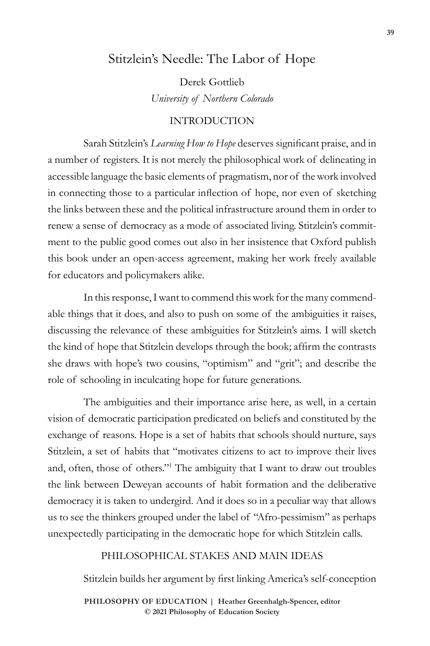# Stitzlein's Needle: The Labor of Hope

Derek Gottlieb *University of Northern Colorado* 

## INTRODUCTION

Sarah Stitzlein's *Learning How to Hope* deserves significant praise, and in a number of registers. It is not merely the philosophical work of delineating in accessible language the basic elements of pragmatism, nor of the work involved in connecting those to a particular inflection of hope, nor even of sketching the links between these and the political infrastructure around them in order to renew a sense of democracy as a mode of associated living. Stitzlein's commitment to the public good comes out also in her insistence that Oxford publish this book under an open-access agreement, making her work freely available for educators and policymakers alike.

In this response, I want to commend this work for the many commendable things that it does, and also to push on some of the ambiguities it raises, discussing the relevance of these ambiguities for Stitzlein's aims. I will sketch the kind of hope that Stitzlein develops through the book; affirm the contrasts she draws with hope's two cousins, "optimism" and "grit"; and describe the role of schooling in inculcating hope for future generations.

The ambiguities and their importance arise here, as well, in a certain vision of democratic participation predicated on beliefs and constituted by the exchange of reasons. Hope is a set of habits that schools should nurture, says Stitzlein, a set of habits that "motivates citizens to act to improve their lives and, often, those of others."<sup>1</sup> The ambiguity that I want to draw out troubles the link between Deweyan accounts of habit formation and the deliberative democracy it is taken to undergird. And it does so in a peculiar way that allows us to see the thinkers grouped under the label of "Afro-pessimism" as perhaps unexpectedly participating in the democratic hope for which Stitzlein calls.

#### PHILOSOPHICAL STAKES AND MAIN IDEAS

Stitzlein builds her argument by first linking America's self-conception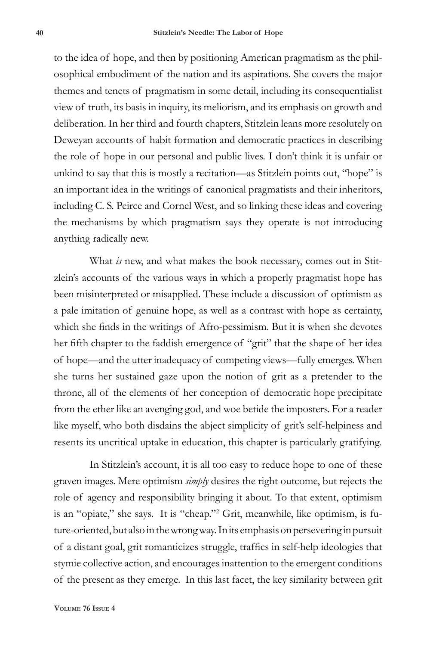to the idea of hope, and then by positioning American pragmatism as the philosophical embodiment of the nation and its aspirations. She covers the major themes and tenets of pragmatism in some detail, including its consequentialist view of truth, its basis in inquiry, its meliorism, and its emphasis on growth and deliberation. In her third and fourth chapters, Stitzlein leans more resolutely on Deweyan accounts of habit formation and democratic practices in describing the role of hope in our personal and public lives. I don't think it is unfair or unkind to say that this is mostly a recitation—as Stitzlein points out, "hope" is an important idea in the writings of canonical pragmatists and their inheritors, including C. S. Peirce and Cornel West, and so linking these ideas and covering the mechanisms by which pragmatism says they operate is not introducing anything radically new.

What *is* new, and what makes the book necessary, comes out in Stitzlein's accounts of the various ways in which a properly pragmatist hope has been misinterpreted or misapplied. These include a discussion of optimism as a pale imitation of genuine hope, as well as a contrast with hope as certainty, which she finds in the writings of Afro-pessimism. But it is when she devotes her fifth chapter to the faddish emergence of "grit" that the shape of her idea of hope—and the utter inadequacy of competing views—fully emerges. When she turns her sustained gaze upon the notion of grit as a pretender to the throne, all of the elements of her conception of democratic hope precipitate from the ether like an avenging god, and woe betide the imposters. For a reader like myself, who both disdains the abject simplicity of grit's self-helpiness and resents its uncritical uptake in education, this chapter is particularly gratifying.

In Stitzlein's account, it is all too easy to reduce hope to one of these graven images. Mere optimism *simply* desires the right outcome, but rejects the role of agency and responsibility bringing it about. To that extent, optimism is an "opiate," she says. It is "cheap."<sup>2</sup> Grit, meanwhile, like optimism, is future-oriented, but also in the wrong way. In its emphasis on persevering in pursuit of a distant goal, grit romanticizes struggle, traffics in self-help ideologies that stymie collective action, and encourages inattention to the emergent conditions of the present as they emerge. In this last facet, the key similarity between grit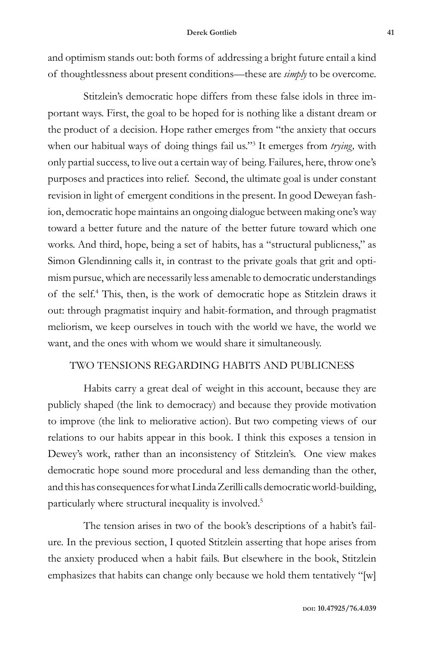and optimism stands out: both forms of addressing a bright future entail a kind of thoughtlessness about present conditions—these are *simply* to be overcome.

Stitzlein's democratic hope differs from these false idols in three important ways. First, the goal to be hoped for is nothing like a distant dream or the product of a decision. Hope rather emerges from "the anxiety that occurs when our habitual ways of doing things fail us."<sup>3</sup> It emerges from *trying,* with only partial success, to live out a certain way of being. Failures, here, throw one's purposes and practices into relief. Second, the ultimate goal is under constant revision in light of emergent conditions in the present. In good Deweyan fashion, democratic hope maintains an ongoing dialogue between making one's way toward a better future and the nature of the better future toward which one works. And third, hope, being a set of habits, has a "structural publicness," as Simon Glendinning calls it, in contrast to the private goals that grit and optimism pursue, which are necessarily less amenable to democratic understandings of the self.4 This, then, is the work of democratic hope as Stitzlein draws it out: through pragmatist inquiry and habit-formation, and through pragmatist meliorism, we keep ourselves in touch with the world we have, the world we want, and the ones with whom we would share it simultaneously.

### TWO TENSIONS REGARDING HABITS AND PUBLICNESS

Habits carry a great deal of weight in this account, because they are publicly shaped (the link to democracy) and because they provide motivation to improve (the link to meliorative action). But two competing views of our relations to our habits appear in this book. I think this exposes a tension in Dewey's work, rather than an inconsistency of Stitzlein's. One view makes democratic hope sound more procedural and less demanding than the other, and this has consequences for what Linda Zerilli calls democratic world-building, particularly where structural inequality is involved.<sup>5</sup>

The tension arises in two of the book's descriptions of a habit's failure*.* In the previous section, I quoted Stitzlein asserting that hope arises from the anxiety produced when a habit fails. But elsewhere in the book, Stitzlein emphasizes that habits can change only because we hold them tentatively "[w]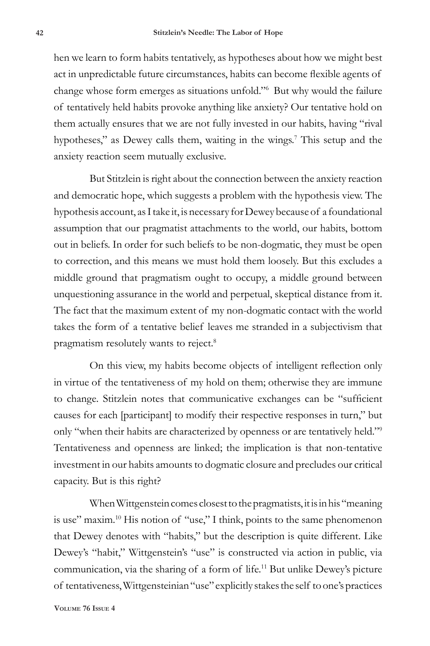hen we learn to form habits tentatively, as hypotheses about how we might best act in unpredictable future circumstances, habits can become flexible agents of change whose form emerges as situations unfold."<sup>6</sup> But why would the failure of tentatively held habits provoke anything like anxiety? Our tentative hold on them actually ensures that we are not fully invested in our habits, having "rival hypotheses," as Dewey calls them, waiting in the wings.<sup>7</sup> This setup and the anxiety reaction seem mutually exclusive.

But Stitzlein is right about the connection between the anxiety reaction and democratic hope, which suggests a problem with the hypothesis view. The hypothesis account, as I take it, is necessary for Dewey because of a foundational assumption that our pragmatist attachments to the world, our habits, bottom out in beliefs. In order for such beliefs to be non-dogmatic, they must be open to correction, and this means we must hold them loosely. But this excludes a middle ground that pragmatism ought to occupy, a middle ground between unquestioning assurance in the world and perpetual, skeptical distance from it. The fact that the maximum extent of my non-dogmatic contact with the world takes the form of a tentative belief leaves me stranded in a subjectivism that pragmatism resolutely wants to reject.<sup>8</sup>

On this view, my habits become objects of intelligent reflection only in virtue of the tentativeness of my hold on them; otherwise they are immune to change. Stitzlein notes that communicative exchanges can be "sufficient causes for each [participant] to modify their respective responses in turn," but only "when their habits are characterized by openness or are tentatively held."<sup>9</sup> Tentativeness and openness are linked; the implication is that non-tentative investment in our habits amounts to dogmatic closure and precludes our critical capacity. But is this right?

When Wittgenstein comes closest to the pragmatists, it is in his "meaning is use" maxim.<sup>10</sup> His notion of "use," I think, points to the same phenomenon that Dewey denotes with "habits," but the description is quite different. Like Dewey's "habit," Wittgenstein's "use" is constructed via action in public, via communication, via the sharing of a form of life.<sup>11</sup> But unlike Dewey's picture of tentativeness, Wittgensteinian "use" explicitly stakes the self to one's practices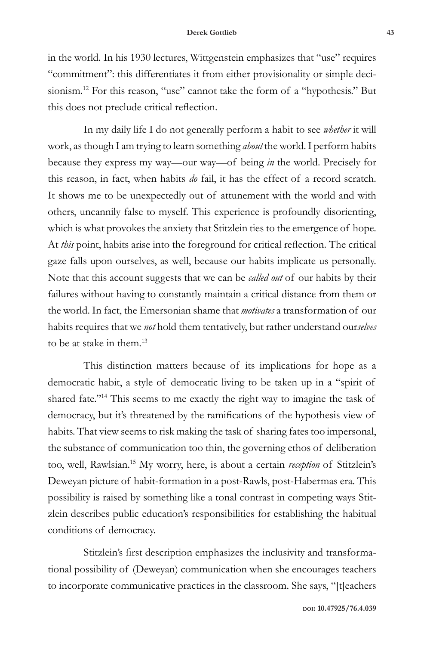in the world. In his 1930 lectures, Wittgenstein emphasizes that "use" requires "commitment": this differentiates it from either provisionality or simple decisionism.<sup>12</sup> For this reason, "use" cannot take the form of a "hypothesis." But this does not preclude critical reflection.

In my daily life I do not generally perform a habit to see *whether* it will work, as though I am trying to learn something *about* the world. I perform habits because they express my way—our way—of being *in* the world. Precisely for this reason, in fact, when habits *do* fail, it has the effect of a record scratch. It shows me to be unexpectedly out of attunement with the world and with others, uncannily false to myself. This experience is profoundly disorienting, which is what provokes the anxiety that Stitzlein ties to the emergence of hope. At *this* point, habits arise into the foreground for critical reflection. The critical gaze falls upon ourselves, as well, because our habits implicate us personally. Note that this account suggests that we can be *called out* of our habits by their failures without having to constantly maintain a critical distance from them or the world. In fact, the Emersonian shame that *motivates* a transformation of our habits requires that we *not* hold them tentatively, but rather understand our*selves* to be at stake in them.13

This distinction matters because of its implications for hope as a democratic habit, a style of democratic living to be taken up in a "spirit of shared fate."<sup>14</sup> This seems to me exactly the right way to imagine the task of democracy, but it's threatened by the ramifications of the hypothesis view of habits. That view seems to risk making the task of sharing fates too impersonal, the substance of communication too thin, the governing ethos of deliberation too, well, Rawlsian.<sup>15</sup> My worry, here, is about a certain *reception* of Stitzlein's Deweyan picture of habit-formation in a post-Rawls, post-Habermas era. This possibility is raised by something like a tonal contrast in competing ways Stitzlein describes public education's responsibilities for establishing the habitual conditions of democracy.

Stitzlein's first description emphasizes the inclusivity and transformational possibility of (Deweyan) communication when she encourages teachers to incorporate communicative practices in the classroom. She says, "[t]eachers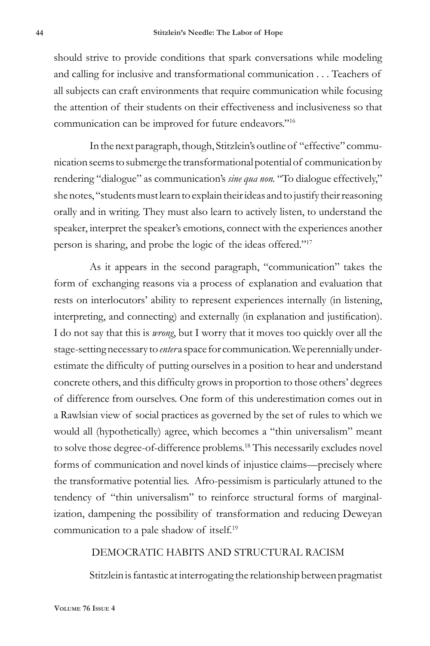should strive to provide conditions that spark conversations while modeling and calling for inclusive and transformational communication . . . Teachers of all subjects can craft environments that require communication while focusing the attention of their students on their effectiveness and inclusiveness so that communication can be improved for future endeavors."<sup>16</sup>

In the next paragraph, though, Stitzlein's outline of "effective" communication seems to submerge the transformational potential of communication by rendering "dialogue" as communication's *sine qua non.* "To dialogue effectively," she notes, "students must learn to explain their ideas and to justify their reasoning orally and in writing. They must also learn to actively listen, to understand the speaker, interpret the speaker's emotions, connect with the experiences another person is sharing, and probe the logic of the ideas offered."<sup>17</sup>

As it appears in the second paragraph, "communication" takes the form of exchanging reasons via a process of explanation and evaluation that rests on interlocutors' ability to represent experiences internally (in listening, interpreting, and connecting) and externally (in explanation and justification). I do not say that this is *wrong*, but I worry that it moves too quickly over all the stage-setting necessary to *enter* a space for communication. We perennially underestimate the difficulty of putting ourselves in a position to hear and understand concrete others, and this difficulty grows in proportion to those others' degrees of difference from ourselves. One form of this underestimation comes out in a Rawlsian view of social practices as governed by the set of rules to which we would all (hypothetically) agree, which becomes a "thin universalism" meant to solve those degree-of-difference problems.<sup>18</sup> This necessarily excludes novel forms of communication and novel kinds of injustice claims—precisely where the transformative potential lies. Afro-pessimism is particularly attuned to the tendency of "thin universalism" to reinforce structural forms of marginalization, dampening the possibility of transformation and reducing Deweyan communication to a pale shadow of itself.<sup>19</sup>

#### DEMOCRATIC HABITS AND STRUCTURAL RACISM

Stitzlein is fantastic at interrogating the relationship between pragmatist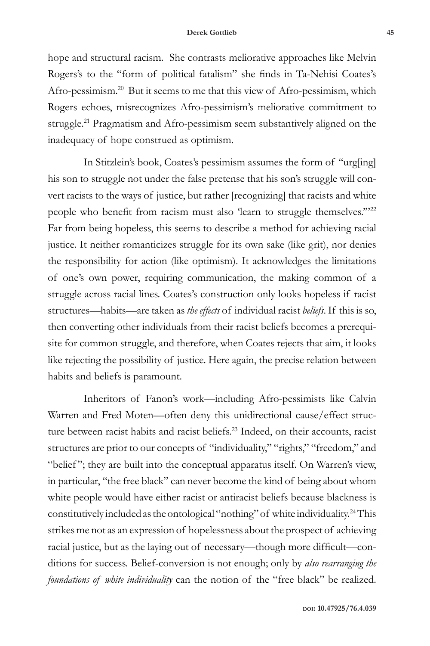hope and structural racism. She contrasts meliorative approaches like Melvin Rogers's to the "form of political fatalism" she finds in Ta-Nehisi Coates's Afro-pessimism.<sup>20</sup> But it seems to me that this view of Afro-pessimism, which Rogers echoes, misrecognizes Afro-pessimism's meliorative commitment to struggle.<sup>21</sup> Pragmatism and Afro-pessimism seem substantively aligned on the inadequacy of hope construed as optimism.

In Stitzlein's book, Coates's pessimism assumes the form of "urg[ing] his son to struggle not under the false pretense that his son's struggle will convert racists to the ways of justice, but rather [recognizing] that racists and white people who benefit from racism must also 'learn to struggle themselves."<sup>22</sup> Far from being hopeless, this seems to describe a method for achieving racial justice. It neither romanticizes struggle for its own sake (like grit), nor denies the responsibility for action (like optimism). It acknowledges the limitations of one's own power, requiring communication, the making common of a struggle across racial lines. Coates's construction only looks hopeless if racist structures—habits—are taken as *the effects* of individual racist *beliefs*. If this is so, then converting other individuals from their racist beliefs becomes a prerequisite for common struggle, and therefore, when Coates rejects that aim, it looks like rejecting the possibility of justice. Here again, the precise relation between habits and beliefs is paramount.

Inheritors of Fanon's work—including Afro-pessimists like Calvin Warren and Fred Moten—often deny this unidirectional cause/effect structure between racist habits and racist beliefs.<sup>23</sup> Indeed, on their accounts, racist structures are prior to our concepts of "individuality," "rights," "freedom," and "belief "; they are built into the conceptual apparatus itself. On Warren's view, in particular, "the free black" can never become the kind of being about whom white people would have either racist or antiracist beliefs because blackness is constitutively included as the ontological "nothing" of white individuality.<sup>24</sup> This strikes me not as an expression of hopelessness about the prospect of achieving racial justice, but as the laying out of necessary—though more difficult—conditions for success. Belief-conversion is not enough; only by *also rearranging the foundations of white individuality* can the notion of the "free black" be realized.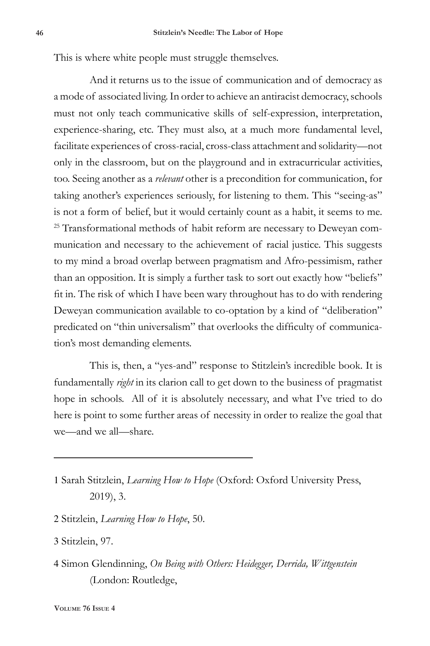This is where white people must struggle themselves.

And it returns us to the issue of communication and of democracy as a mode of associated living. In order to achieve an antiracist democracy, schools must not only teach communicative skills of self-expression, interpretation, experience-sharing, etc. They must also, at a much more fundamental level, facilitate experiences of cross-racial, cross-class attachment and solidarity—not only in the classroom, but on the playground and in extracurricular activities, too. Seeing another as a *relevant* other is a precondition for communication, for taking another's experiences seriously, for listening to them. This "seeing-as" is not a form of belief, but it would certainly count as a habit, it seems to me. <sup>25</sup> Transformational methods of habit reform are necessary to Deweyan communication and necessary to the achievement of racial justice. This suggests to my mind a broad overlap between pragmatism and Afro-pessimism, rather than an opposition. It is simply a further task to sort out exactly how "beliefs" fit in. The risk of which I have been wary throughout has to do with rendering Deweyan communication available to co-optation by a kind of "deliberation" predicated on "thin universalism" that overlooks the difficulty of communication's most demanding elements.

This is, then, a "yes-and" response to Stitzlein's incredible book. It is fundamentally *right* in its clarion call to get down to the business of pragmatist hope in schools. All of it is absolutely necessary, and what I've tried to do here is point to some further areas of necessity in order to realize the goal that we—and we all—share.

- 2 Stitzlein, *Learning How to Hope*, 50.
- 3 Stitzlein, 97.
- 4 Simon Glendinning, *On Being with Others: Heidegger, Derrida, Wittgenstein* (London: Routledge,

<sup>1</sup> Sarah Stitzlein, *Learning How to Hope* (Oxford: Oxford University Press, 2019), 3.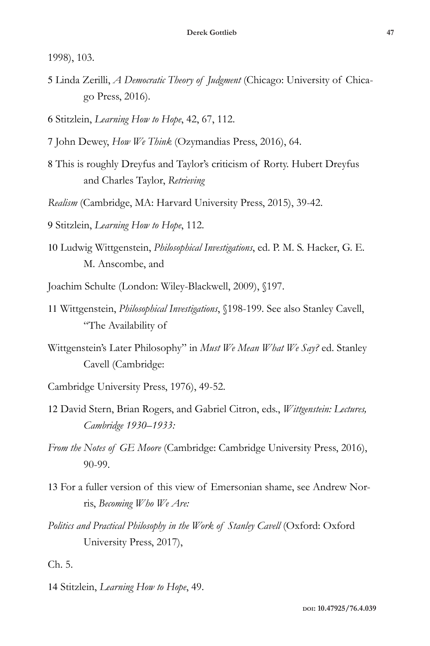1998), 103.

5 Linda Zerilli, *A Democratic Theory of Judgment* (Chicago: University of Chicago Press, 2016).

6 Stitzlein, *Learning How to Hope*, 42, 67, 112.

- 7 John Dewey, *How We Think* (Ozymandias Press, 2016), 64.
- 8 This is roughly Dreyfus and Taylor's criticism of Rorty. Hubert Dreyfus and Charles Taylor, *Retrieving*
- *Realism* (Cambridge, MA: Harvard University Press, 2015), 39-42.

9 Stitzlein, *Learning How to Hope*, 112.

10 Ludwig Wittgenstein, *Philosophical Investigations*, ed. P. M. S. Hacker, G. E. M. Anscombe, and

Joachim Schulte (London: Wiley-Blackwell, 2009), §197.

- 11 Wittgenstein, *Philosophical Investigations*, §198-199. See also Stanley Cavell, "The Availability of
- Wittgenstein's Later Philosophy" in *Must We Mean What We Say?* ed. Stanley Cavell (Cambridge:
- Cambridge University Press, 1976), 49-52.
- 12 David Stern, Brian Rogers, and Gabriel Citron, eds., *Wittgenstein: Lectures, Cambridge 1930–1933:*
- *From the Notes of GE Moore* (Cambridge: Cambridge University Press, 2016), 90-99.
- 13 For a fuller version of this view of Emersonian shame, see Andrew Norris, *Becoming Who We Are:*
- *Politics and Practical Philosophy in the Work of Stanley Cavell* (Oxford: Oxford University Press, 2017),

Ch. 5.

14 Stitzlein, *Learning How to Hope*, 49.